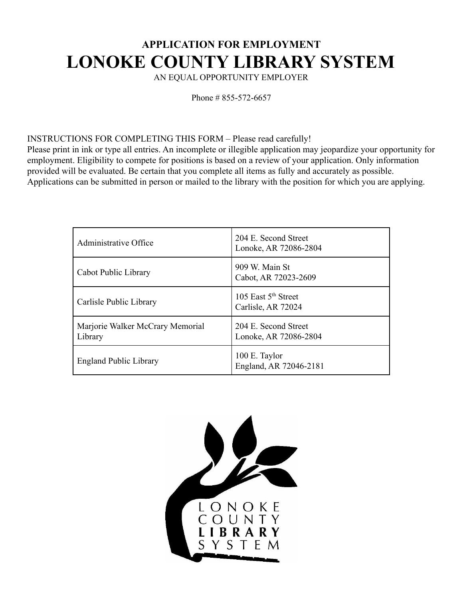# **APPLICATION FOR EMPLOYMENT LONOKE COUNTY LIBRARY SYSTEM**

AN EQUAL OPPORTUNITY EMPLOYER

Phone # 855-572-6657

#### INSTRUCTIONS FOR COMPLETING THIS FORM – Please read carefully!

Please print in ink or type all entries. An incomplete or illegible application may jeopardize your opportunity for employment. Eligibility to compete for positions is based on a review of your application. Only information provided will be evaluated. Be certain that you complete all items as fully and accurately as possible. Applications can be submitted in person or mailed to the library with the position for which you are applying.

| Administrative Office                       | 204 E. Second Street<br>Lonoke, AR 72086-2804         |
|---------------------------------------------|-------------------------------------------------------|
| Cabot Public Library                        | 909 W. Main St<br>Cabot, AR 72023-2609                |
| Carlisle Public Library                     | 105 East 5 <sup>th</sup> Street<br>Carlisle, AR 72024 |
| Marjorie Walker McCrary Memorial<br>Library | 204 E. Second Street<br>Lonoke, AR 72086-2804         |
| <b>England Public Library</b>               | 100 E. Taylor<br>England, AR 72046-2181               |

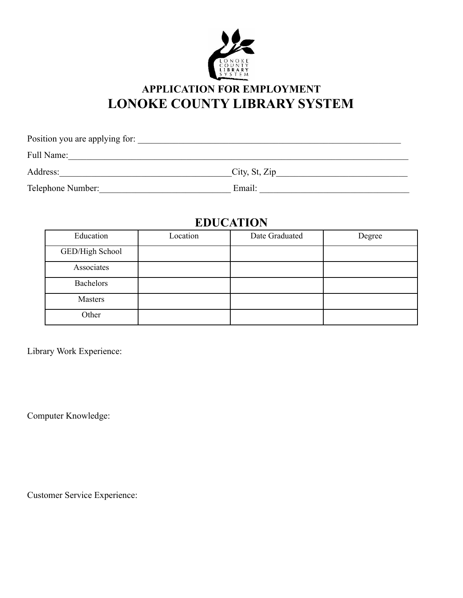

## **APPLICATION FOR EMPLOYMENT LONOKE COUNTY LIBRARY SYSTEM**

| Position you are applying for: |               |
|--------------------------------|---------------|
| Full Name:                     |               |
| Address:                       | City, St, Zip |
| Telephone Number:              | Email:        |

## **EDUCATION**

| Education        | Location | Date Graduated | Degree |
|------------------|----------|----------------|--------|
| GED/High School  |          |                |        |
| Associates       |          |                |        |
| <b>Bachelors</b> |          |                |        |
| Masters          |          |                |        |
| Other            |          |                |        |

Library Work Experience:

Computer Knowledge:

Customer Service Experience: